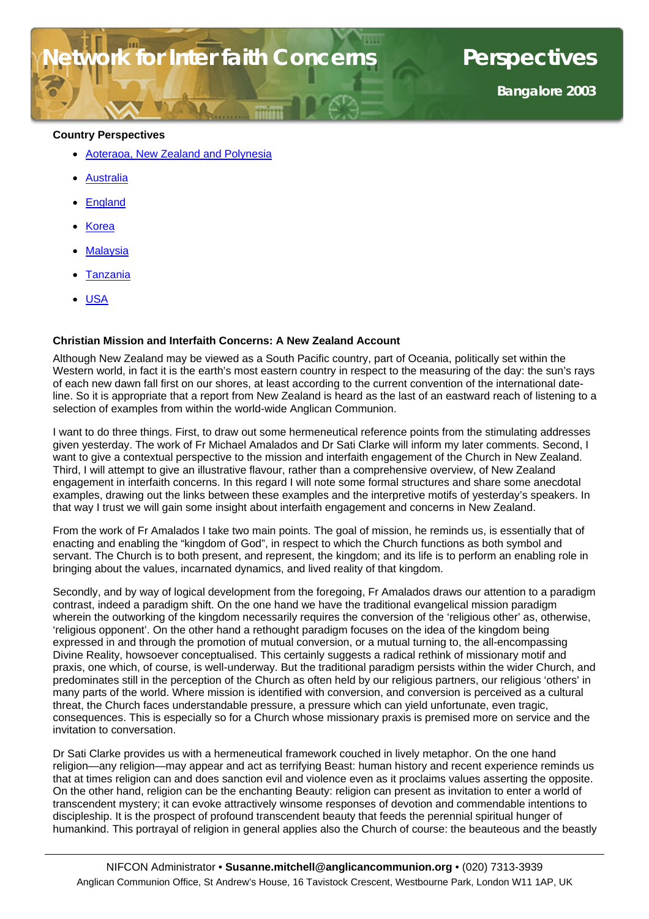# **For Inter faith Concerns Perspectives**

**Bangalore 2003**

#### **Country Perspectives**

- Aoteraoa, New Zealand and Polynesia
- **[Australia](#page-3-0)**
- **[England](#page-6-0)**
- **[Korea](#page-8-0)**
- **[Malaysia](#page-10-0)**
- **Tanzania**
- [USA](#page-14-0)

#### **Christian Mission and Interfaith Concerns: A New Zealand Account**

Although New Zealand may be viewed as a South Pacific country, part of Oceania, politically set within the Western world, in fact it is the earth's most eastern country in respect to the measuring of the day: the sun's rays of each new dawn fall first on our shores, at least according to the current convention of the international dateline. So it is appropriate that a report from New Zealand is heard as the last of an eastward reach of listening to a selection of examples from within the world-wide Anglican Communion.

I want to do three things. First, to draw out some hermeneutical reference points from the stimulating addresses given yesterday. The work of Fr Michael Amalados and Dr Sati Clarke will inform my later comments. Second, I want to give a contextual perspective to the mission and interfaith engagement of the Church in New Zealand. Third, I will attempt to give an illustrative flavour, rather than a comprehensive overview, of New Zealand engagement in interfaith concerns. In this regard I will note some formal structures and share some anecdotal examples, drawing out the links between these examples and the interpretive motifs of yesterday's speakers. In that way I trust we will gain some insight about interfaith engagement and concerns in New Zealand.

From the work of Fr Amalados I take two main points. The goal of mission, he reminds us, is essentially that of enacting and enabling the "kingdom of God", in respect to which the Church functions as both symbol and servant. The Church is to both present, and represent, the kingdom; and its life is to perform an enabling role in bringing about the values, incarnated dynamics, and lived reality of that kingdom.

Secondly, and by way of logical development from the foregoing, Fr Amalados draws our attention to a paradigm contrast, indeed a paradigm shift. On the one hand we have the traditional evangelical mission paradigm wherein the outworking of the kingdom necessarily requires the conversion of the 'religious other' as, otherwise, 'religious opponent'. On the other hand a rethought paradigm focuses on the idea of the kingdom being expressed in and through the promotion of mutual conversion, or a mutual turning to, the all-encompassing Divine Reality, howsoever conceptualised. This certainly suggests a radical rethink of missionary motif and praxis, one which, of course, is well-underway. But the traditional paradigm persists within the wider Church, and predominates still in the perception of the Church as often held by our religious partners, our religious 'others' in many parts of the world. Where mission is identified with conversion, and conversion is perceived as a cultural threat, the Church faces understandable pressure, a pressure which can yield unfortunate, even tragic, consequences. This is especially so for a Church whose missionary praxis is premised more on service and the invitation to conversation.

Dr Sati Clarke provides us with a hermeneutical framework couched in lively metaphor. On the one hand religion—any religion—may appear and act as terrifying Beast: human history and recent experience reminds us that at times religion can and does sanction evil and violence even as it proclaims values asserting the opposite. On the other hand, religion can be the enchanting Beauty: religion can present as invitation to enter a world of transcendent mystery; it can evoke attractively winsome responses of devotion and commendable intentions to discipleship. It is the prospect of profound transcendent beauty that feeds the perennial spiritual hunger of humankind. This portrayal of religion in general applies also the Church of course: the beauteous and the beastly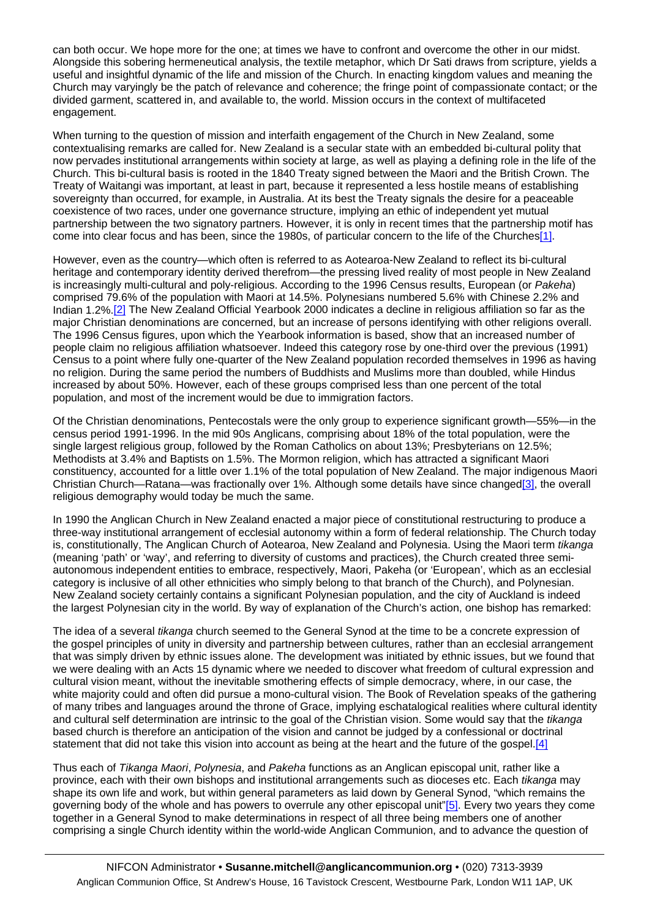can both occur. We hope more for the one; at times we have to confront and overcome the other in our midst. Alongside this sobering hermeneutical analysis, the textile metaphor, which Dr Sati draws from scripture, yields a useful and insightful dynamic of the life and mission of the Church. In enacting kingdom values and meaning the Church may varyingly be the patch of relevance and coherence; the fringe point of compassionate contact; or the divided garment, scattered in, and available to, the world. Mission occurs in the context of multifaceted engagement.

When turning to the question of mission and interfaith engagement of the Church in New Zealand, some contextualising remarks are called for. New Zealand is a secular state with an embedded bi-cultural polity that now pervades institutional arrangements within society at large, as well as playing a defining role in the life of the Church. This bi-cultural basis is rooted in the 1840 Treaty signed between the Maori and the British Crown. The Treaty of Waitangi was important, at least in part, because it represented a less hostile means of establishing sovereignty than occurred, for example, in Australia. At its best the Treaty signals the desire for a peaceable coexistence of two races, under one governance structure, implying an ethic of independent yet mutual partnership between the two signatory partners. However, it is only in recent times that the partnership motif has come into clear focus and has been, since the 1980s, of particular concern to the life of the Churches[\[1\]](http://nifcon/work/consultations/bangalore/#_ftn1).

However, even as the country—which often is referred to as Aotearoa-New Zealand to reflect its bi-cultural heritage and contemporary identity derived therefrom—the pressing lived reality of most people in New Zealand is increasingly multi-cultural and poly-religious. According to the 1996 Census results, European (or *Pakeha*) comprised 79.6% of the population with Maori at 14.5%. Polynesians numbered 5.6% with Chinese 2.2% and Indian 1.2%[.\[2\]](http://nifcon/work/consultations/bangalore/#_ftn2) The New Zealand Official Yearbook 2000 indicates a decline in religious affiliation so far as the major Christian denominations are concerned, but an increase of persons identifying with other religions overall. The 1996 Census figures, upon which the Yearbook information is based, show that an increased number of people claim no religious affiliation whatsoever. Indeed this category rose by one-third over the previous (1991) Census to a point where fully one-quarter of the New Zealand population recorded themselves in 1996 as having no religion. During the same period the numbers of Buddhists and Muslims more than doubled, while Hindus increased by about 50%. However, each of these groups comprised less than one percent of the total population, and most of the increment would be due to immigration factors.

Of the Christian denominations, Pentecostals were the only group to experience significant growth—55%—in the census period 1991-1996. In the mid 90s Anglicans, comprising about 18% of the total population, were the single largest religious group, followed by the Roman Catholics on about 13%; Presbyterians on 12.5%; Methodists at 3.4% and Baptists on 1.5%. The Mormon religion, which has attracted a significant Maori constituency, accounted for a little over 1.1% of the total population of New Zealand. The major indigenous Maori Christian Church—Ratana—was fractionally over 1%. Although some details have since changed[\[3\],](http://nifcon/work/consultations/bangalore/#_ftn3) the overall religious demography would today be much the same.

In 1990 the Anglican Church in New Zealand enacted a major piece of constitutional restructuring to produce a three-way institutional arrangement of ecclesial autonomy within a form of federal relationship. The Church today is, constitutionally, The Anglican Church of Aotearoa, New Zealand and Polynesia. Using the Maori term *tikanga* (meaning 'path' or 'way', and referring to diversity of customs and practices), the Church created three semiautonomous independent entities to embrace, respectively, Maori, Pakeha (or 'European', which as an ecclesial category is inclusive of all other ethnicities who simply belong to that branch of the Church), and Polynesian. New Zealand society certainly contains a significant Polynesian population, and the city of Auckland is indeed the largest Polynesian city in the world. By way of explanation of the Church's action, one bishop has remarked:

The idea of a several *tikanga* church seemed to the General Synod at the time to be a concrete expression of the gospel principles of unity in diversity and partnership between cultures, rather than an ecclesial arrangement that was simply driven by ethnic issues alone. The development was initiated by ethnic issues, but we found that we were dealing with an Acts 15 dynamic where we needed to discover what freedom of cultural expression and cultural vision meant, without the inevitable smothering effects of simple democracy, where, in our case, the white majority could and often did pursue a mono-cultural vision. The Book of Revelation speaks of the gathering of many tribes and languages around the throne of Grace, implying eschatalogical realities where cultural identity and cultural self determination are intrinsic to the goal of the Christian vision. Some would say that the *tikanga* based church is therefore an anticipation of the vision and cannot be judged by a confessional or doctrinal statement that did not take this vision into account as being at the heart and the future of the gospel[.\[4\]](http://nifcon/work/consultations/bangalore/#_ftn4)

Thus each of *Tikanga Maori*, *Polynesia*, and *Pakeha* functions as an Anglican episcopal unit, rather like a province, each with their own bishops and institutional arrangements such as dioceses etc. Each *tikanga* may shape its own life and work, but within general parameters as laid down by General Synod, "which remains the governing body of the whole and has powers to overrule any other episcopal unit"[\[5\].](http://nifcon/work/consultations/bangalore/#_ftn5) Every two years they come together in a General Synod to make determinations in respect of all three being members one of another comprising a single Church identity within the world-wide Anglican Communion, and to advance the question of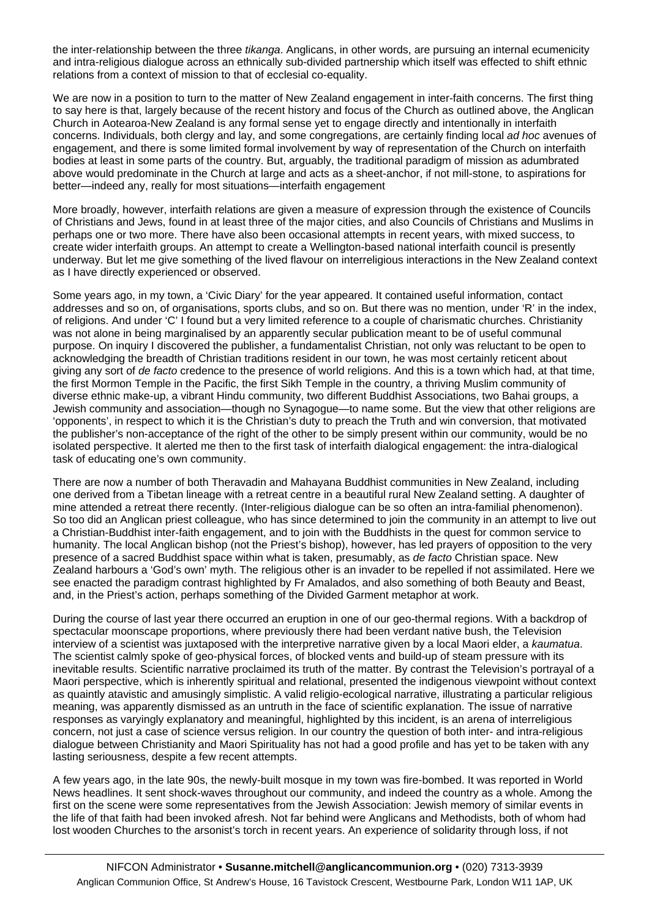the inter-relationship between the three *tikanga*. Anglicans, in other words, are pursuing an internal ecumenicity and intra-religious dialogue across an ethnically sub-divided partnership which itself was effected to shift ethnic relations from a context of mission to that of ecclesial co-equality.

We are now in a position to turn to the matter of New Zealand engagement in inter-faith concerns. The first thing to say here is that, largely because of the recent history and focus of the Church as outlined above, the Anglican Church in Aotearoa-New Zealand is any formal sense yet to engage directly and intentionally in interfaith concerns. Individuals, both clergy and lay, and some congregations, are certainly finding local *ad hoc* avenues of engagement, and there is some limited formal involvement by way of representation of the Church on interfaith bodies at least in some parts of the country. But, arguably, the traditional paradigm of mission as adumbrated above would predominate in the Church at large and acts as a sheet-anchor, if not mill-stone, to aspirations for better—indeed any, really for most situations—interfaith engagement

More broadly, however, interfaith relations are given a measure of expression through the existence of Councils of Christians and Jews, found in at least three of the major cities, and also Councils of Christians and Muslims in perhaps one or two more. There have also been occasional attempts in recent years, with mixed success, to create wider interfaith groups. An attempt to create a Wellington-based national interfaith council is presently underway. But let me give something of the lived flavour on interreligious interactions in the New Zealand context as I have directly experienced or observed.

Some years ago, in my town, a 'Civic Diary' for the year appeared. It contained useful information, contact addresses and so on, of organisations, sports clubs, and so on. But there was no mention, under 'R' in the index, of religions. And under 'C' I found but a very limited reference to a couple of charismatic churches. Christianity was not alone in being marginalised by an apparently secular publication meant to be of useful communal purpose. On inquiry I discovered the publisher, a fundamentalist Christian, not only was reluctant to be open to acknowledging the breadth of Christian traditions resident in our town, he was most certainly reticent about giving any sort of *de facto* credence to the presence of world religions. And this is a town which had, at that time, the first Mormon Temple in the Pacific, the first Sikh Temple in the country, a thriving Muslim community of diverse ethnic make-up, a vibrant Hindu community, two different Buddhist Associations, two Bahai groups, a Jewish community and association—though no Synagogue—to name some. But the view that other religions are 'opponents', in respect to which it is the Christian's duty to preach the Truth and win conversion, that motivated the publisher's non-acceptance of the right of the other to be simply present within our community, would be no isolated perspective. It alerted me then to the first task of interfaith dialogical engagement: the intra-dialogical task of educating one's own community.

There are now a number of both Theravadin and Mahayana Buddhist communities in New Zealand, including one derived from a Tibetan lineage with a retreat centre in a beautiful rural New Zealand setting. A daughter of mine attended a retreat there recently. (Inter-religious dialogue can be so often an intra-familial phenomenon). So too did an Anglican priest colleague, who has since determined to join the community in an attempt to live out a Christian-Buddhist inter-faith engagement, and to join with the Buddhists in the quest for common service to humanity. The local Anglican bishop (not the Priest's bishop), however, has led prayers of opposition to the very presence of a sacred Buddhist space within what is taken, presumably, as *de facto* Christian space. New Zealand harbours a 'God's own' myth. The religious other is an invader to be repelled if not assimilated. Here we see enacted the paradigm contrast highlighted by Fr Amalados, and also something of both Beauty and Beast, and, in the Priest's action, perhaps something of the Divided Garment metaphor at work.

During the course of last year there occurred an eruption in one of our geo-thermal regions. With a backdrop of spectacular moonscape proportions, where previously there had been verdant native bush, the Television interview of a scientist was juxtaposed with the interpretive narrative given by a local Maori elder, a *kaumatua*. The scientist calmly spoke of geo-physical forces, of blocked vents and build-up of steam pressure with its inevitable results. Scientific narrative proclaimed its truth of the matter. By contrast the Television's portrayal of a Maori perspective, which is inherently spiritual and relational, presented the indigenous viewpoint without context as quaintly atavistic and amusingly simplistic. A valid religio-ecological narrative, illustrating a particular religious meaning, was apparently dismissed as an untruth in the face of scientific explanation. The issue of narrative responses as varyingly explanatory and meaningful, highlighted by this incident, is an arena of interreligious concern, not just a case of science versus religion. In our country the question of both inter- and intra-religious dialogue between Christianity and Maori Spirituality has not had a good profile and has yet to be taken with any lasting seriousness, despite a few recent attempts.

A few years ago, in the late 90s, the newly-built mosque in my town was fire-bombed. It was reported in World News headlines. It sent shock-waves throughout our community, and indeed the country as a whole. Among the first on the scene were some representatives from the Jewish Association: Jewish memory of similar events in the life of that faith had been invoked afresh. Not far behind were Anglicans and Methodists, both of whom had lost wooden Churches to the arsonist's torch in recent years. An experience of solidarity through loss, if not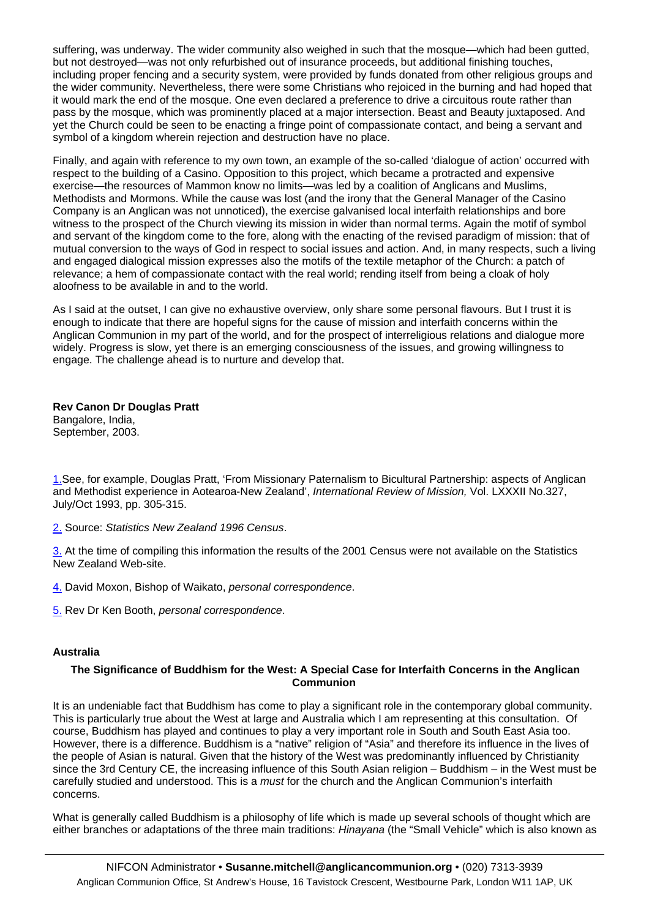<span id="page-3-0"></span>suffering, was underway. The wider community also weighed in such that the mosque—which had been gutted, but not destroyed—was not only refurbished out of insurance proceeds, but additional finishing touches, including proper fencing and a security system, were provided by funds donated from other religious groups and the wider community. Nevertheless, there were some Christians who rejoiced in the burning and had hoped that it would mark the end of the mosque. One even declared a preference to drive a circuitous route rather than pass by the mosque, which was prominently placed at a major intersection. Beast and Beauty juxtaposed. And yet the Church could be seen to be enacting a fringe point of compassionate contact, and being a servant and symbol of a kingdom wherein rejection and destruction have no place.

Finally, and again with reference to my own town, an example of the so-called 'dialogue of action' occurred with respect to the building of a Casino. Opposition to this project, which became a protracted and expensive exercise—the resources of Mammon know no limits—was led by a coalition of Anglicans and Muslims, Methodists and Mormons. While the cause was lost (and the irony that the General Manager of the Casino Company is an Anglican was not unnoticed), the exercise galvanised local interfaith relationships and bore witness to the prospect of the Church viewing its mission in wider than normal terms. Again the motif of symbol and servant of the kingdom come to the fore, along with the enacting of the revised paradigm of mission: that of mutual conversion to the ways of God in respect to social issues and action. And, in many respects, such a living and engaged dialogical mission expresses also the motifs of the textile metaphor of the Church: a patch of relevance; a hem of compassionate contact with the real world; rending itself from being a cloak of holy aloofness to be available in and to the world.

As I said at the outset, I can give no exhaustive overview, only share some personal flavours. But I trust it is enough to indicate that there are hopeful signs for the cause of mission and interfaith concerns within the Anglican Communion in my part of the world, and for the prospect of interreligious relations and dialogue more widely. Progress is slow, yet there is an emerging consciousness of the issues, and growing willingness to engage. The challenge ahead is to nurture and develop that.

**Rev Canon Dr Douglas Pratt** Bangalore, India, September, 2003.

[1.S](http://nifcon/work/consultations/bangalore/#_ftnref1)ee, for example, Douglas Pratt, 'From Missionary Paternalism to Bicultural Partnership: aspects of Anglican and Methodist experience in Aotearoa-New Zealand', *International Review of Mission,* Vol. LXXXII No.327, July/Oct 1993, pp. 305-315.

[2.](http://nifcon/work/consultations/bangalore/#_ftnref2) Source: *Statistics New Zealand 1996 Census*.

[3.](http://nifcon/work/consultations/bangalore/#_ftnref3) At the time of compiling this information the results of the 2001 Census were not available on the Statistics New Zealand Web-site.

[4.](http://nifcon/work/consultations/bangalore/#_ftnref4) David Moxon, Bishop of Waikato, *personal correspondence*.

[5.](http://nifcon/work/consultations/bangalore/#_ftnref5) Rev Dr Ken Booth, *personal correspondence*.

#### **Australia**

#### **The Significance of Buddhism for the West: A Special Case for Interfaith Concerns in the Anglican Communion**

It is an undeniable fact that Buddhism has come to play a significant role in the contemporary global community. This is particularly true about the West at large and Australia which I am representing at this consultation. Of course, Buddhism has played and continues to play a very important role in South and South East Asia too. However, there is a difference. Buddhism is a "native" religion of "Asia" and therefore its influence in the lives of the people of Asian is natural. Given that the history of the West was predominantly influenced by Christianity since the 3rd Century CE, the increasing influence of this South Asian religion – Buddhism – in the West must be carefully studied and understood. This is a *must* for the church and the Anglican Communion's interfaith concerns.

What is generally called Buddhism is a philosophy of life which is made up several schools of thought which are either branches or adaptations of the three main traditions: *Hinayana* (the "Small Vehicle" which is also known as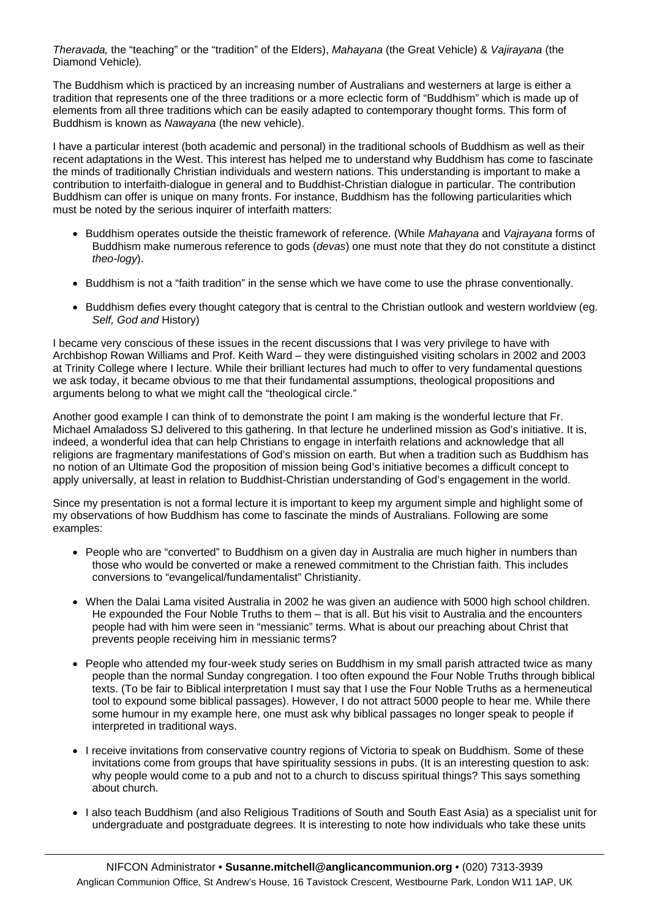*Theravada,* the "teaching" or the "tradition" of the Elders), *Mahayana* (the Great Vehicle) & *Vajirayana* (the Diamond Vehicle)*.* 

The Buddhism which is practiced by an increasing number of Australians and westerners at large is either a tradition that represents one of the three traditions or a more eclectic form of "Buddhism" which is made up of elements from all three traditions which can be easily adapted to contemporary thought forms. This form of Buddhism is known as *Nawayana* (the new vehicle).

I have a particular interest (both academic and personal) in the traditional schools of Buddhism as well as their recent adaptations in the West. This interest has helped me to understand why Buddhism has come to fascinate the minds of traditionally Christian individuals and western nations. This understanding is important to make a contribution to interfaith-dialogue in general and to Buddhist-Christian dialogue in particular. The contribution Buddhism can offer is unique on many fronts. For instance, Buddhism has the following particularities which must be noted by the serious inquirer of interfaith matters:

- Buddhism operates outside the theistic framework of reference. (While *Mahayana* and *Vajrayana* forms of Buddhism make numerous reference to gods (*devas*) one must note that they do not constitute a distinct *theo-logy*).
- Buddhism is not a "faith tradition" in the sense which we have come to use the phrase conventionally.
- Buddhism defies every thought category that is central to the Christian outlook and western worldview (eg. *Self, God and* History)

I became very conscious of these issues in the recent discussions that I was very privilege to have with Archbishop Rowan Williams and Prof. Keith Ward – they were distinguished visiting scholars in 2002 and 2003 at Trinity College where I lecture. While their brilliant lectures had much to offer to very fundamental questions we ask today, it became obvious to me that their fundamental assumptions, theological propositions and arguments belong to what we might call the "theological circle."

Another good example I can think of to demonstrate the point I am making is the wonderful lecture that Fr. Michael Amaladoss SJ delivered to this gathering. In that lecture he underlined mission as God's initiative. It is, indeed, a wonderful idea that can help Christians to engage in interfaith relations and acknowledge that all religions are fragmentary manifestations of God's mission on earth. But when a tradition such as Buddhism has no notion of an Ultimate God the proposition of mission being God's initiative becomes a difficult concept to apply universally, at least in relation to Buddhist-Christian understanding of God's engagement in the world.

Since my presentation is not a formal lecture it is important to keep my argument simple and highlight some of my observations of how Buddhism has come to fascinate the minds of Australians. Following are some examples:

- People who are "converted" to Buddhism on a given day in Australia are much higher in numbers than those who would be converted or make a renewed commitment to the Christian faith. This includes conversions to "evangelical/fundamentalist" Christianity.
- When the Dalai Lama visited Australia in 2002 he was given an audience with 5000 high school children. He expounded the Four Noble Truths to them – that is all. But his visit to Australia and the encounters people had with him were seen in "messianic" terms. What is about our preaching about Christ that prevents people receiving him in messianic terms?
- People who attended my four-week study series on Buddhism in my small parish attracted twice as many people than the normal Sunday congregation. I too often expound the Four Noble Truths through biblical texts. (To be fair to Biblical interpretation I must say that I use the Four Noble Truths as a hermeneutical tool to expound some biblical passages). However, I do not attract 5000 people to hear me. While there some humour in my example here, one must ask why biblical passages no longer speak to people if interpreted in traditional ways.
- I receive invitations from conservative country regions of Victoria to speak on Buddhism. Some of these invitations come from groups that have spirituality sessions in pubs. (It is an interesting question to ask: why people would come to a pub and not to a church to discuss spiritual things? This says something about church.
- I also teach Buddhism (and also Religious Traditions of South and South East Asia) as a specialist unit for undergraduate and postgraduate degrees. It is interesting to note how individuals who take these units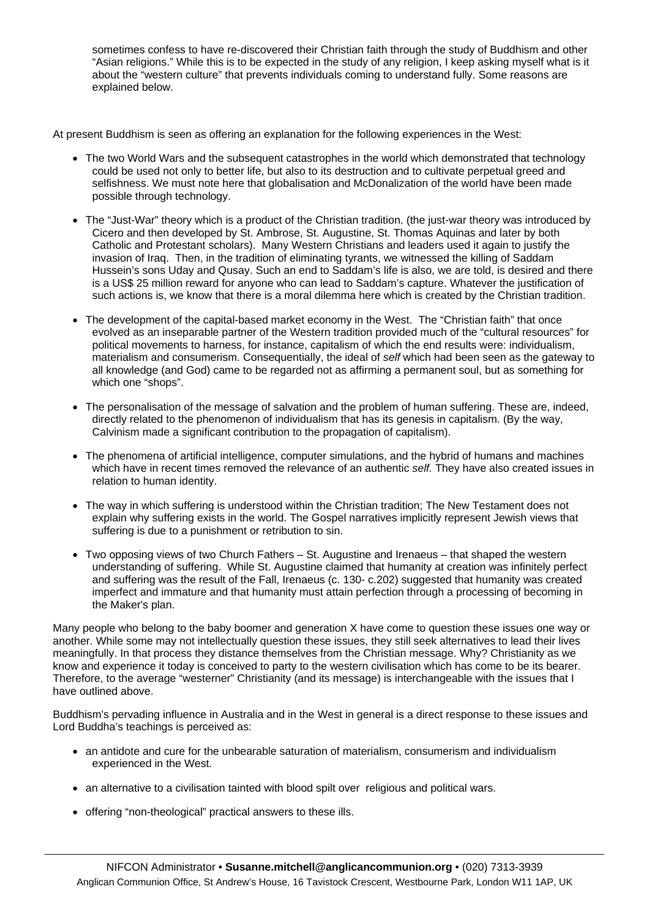sometimes confess to have re-discovered their Christian faith through the study of Buddhism and other "Asian religions." While this is to be expected in the study of any religion, I keep asking myself what is it about the "western culture" that prevents individuals coming to understand fully. Some reasons are explained below.

At present Buddhism is seen as offering an explanation for the following experiences in the West:

- The two World Wars and the subsequent catastrophes in the world which demonstrated that technology could be used not only to better life, but also to its destruction and to cultivate perpetual greed and selfishness. We must note here that globalisation and McDonalization of the world have been made possible through technology.
- The "Just-War" theory which is a product of the Christian tradition. (the just-war theory was introduced by Cicero and then developed by St. Ambrose, St. Augustine, St. Thomas Aquinas and later by both Catholic and Protestant scholars). Many Western Christians and leaders used it again to justify the invasion of Iraq. Then, in the tradition of eliminating tyrants, we witnessed the killing of Saddam Hussein's sons Uday and Qusay. Such an end to Saddam's life is also, we are told, is desired and there is a US\$ 25 million reward for anyone who can lead to Saddam's capture. Whatever the justification of such actions is, we know that there is a moral dilemma here which is created by the Christian tradition.
- The development of the capital-based market economy in the West. The "Christian faith" that once evolved as an inseparable partner of the Western tradition provided much of the "cultural resources" for political movements to harness, for instance, capitalism of which the end results were: individualism, materialism and consumerism. Consequentially, the ideal of *self* which had been seen as the gateway to all knowledge (and God) came to be regarded not as affirming a permanent soul, but as something for which one "shops".
- The personalisation of the message of salvation and the problem of human suffering. These are, indeed, directly related to the phenomenon of individualism that has its genesis in capitalism. (By the way, Calvinism made a significant contribution to the propagation of capitalism).
- The phenomena of artificial intelligence, computer simulations, and the hybrid of humans and machines which have in recent times removed the relevance of an authentic *self.* They have also created issues in relation to human identity.
- The way in which suffering is understood within the Christian tradition; The New Testament does not explain why suffering exists in the world. The Gospel narratives implicitly represent Jewish views that suffering is due to a punishment or retribution to sin.
- Two opposing views of two Church Fathers St. Augustine and Irenaeus that shaped the western understanding of suffering. While St. Augustine claimed that humanity at creation was infinitely perfect and suffering was the result of the Fall, Irenaeus (c. 130- c.202) suggested that humanity was created imperfect and immature and that humanity must attain perfection through a processing of becoming in the Maker's plan.

Many people who belong to the baby boomer and generation X have come to question these issues one way or another. While some may not intellectually question these issues, they still seek alternatives to lead their lives meaningfully. In that process they distance themselves from the Christian message. Why? Christianity as we know and experience it today is conceived to party to the western civilisation which has come to be its bearer. Therefore, to the average "westerner" Christianity (and its message) is interchangeable with the issues that I have outlined above.

Buddhism's pervading influence in Australia and in the West in general is a direct response to these issues and Lord Buddha's teachings is perceived as:

- an antidote and cure for the unbearable saturation of materialism, consumerism and individualism experienced in the West.
- an alternative to a civilisation tainted with blood spilt over religious and political wars.
- offering "non-theological" practical answers to these ills.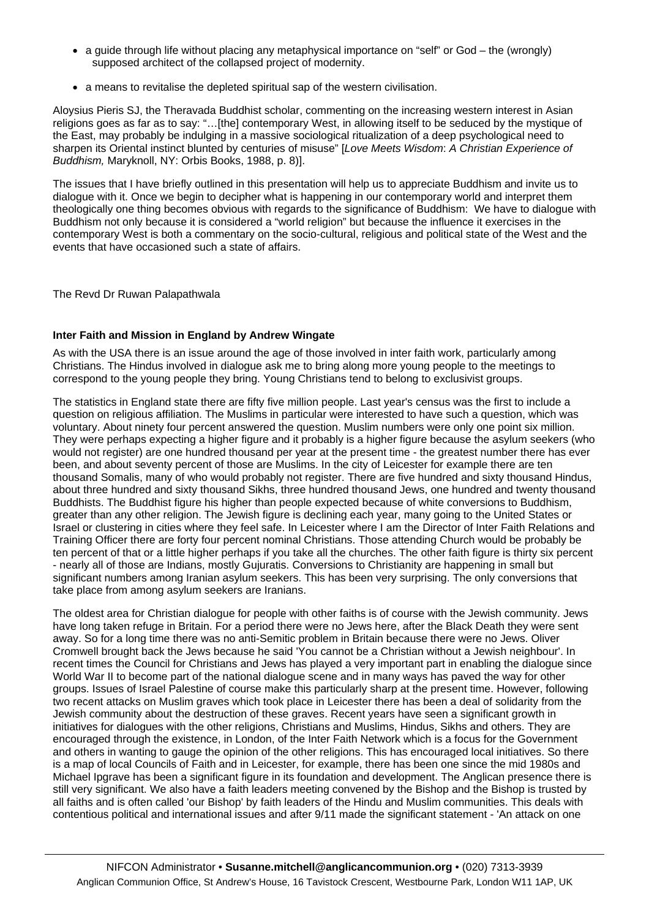- <span id="page-6-0"></span>• a guide through life without placing any metaphysical importance on "self" or God – the (wrongly) supposed architect of the collapsed project of modernity.
- a means to revitalise the depleted spiritual sap of the western civilisation.

Aloysius Pieris SJ, the Theravada Buddhist scholar, commenting on the increasing western interest in Asian religions goes as far as to say: "…[the] contemporary West, in allowing itself to be seduced by the mystique of the East, may probably be indulging in a massive sociological ritualization of a deep psychological need to sharpen its Oriental instinct blunted by centuries of misuse" [*Love Meets Wisdom*: *A Christian Experience of Buddhism,* Maryknoll, NY: Orbis Books, 1988, p. 8)].

The issues that I have briefly outlined in this presentation will help us to appreciate Buddhism and invite us to dialogue with it. Once we begin to decipher what is happening in our contemporary world and interpret them theologically one thing becomes obvious with regards to the significance of Buddhism: We have to dialogue with Buddhism not only because it is considered a "world religion" but because the influence it exercises in the contemporary West is both a commentary on the socio-cultural, religious and political state of the West and the events that have occasioned such a state of affairs.

The Revd Dr Ruwan Palapathwala

#### **Inter Faith and Mission in England by Andrew Wingate**

As with the USA there is an issue around the age of those involved in inter faith work, particularly among Christians. The Hindus involved in dialogue ask me to bring along more young people to the meetings to correspond to the young people they bring. Young Christians tend to belong to exclusivist groups.

The statistics in England state there are fifty five million people. Last year's census was the first to include a question on religious affiliation. The Muslims in particular were interested to have such a question, which was voluntary. About ninety four percent answered the question. Muslim numbers were only one point six million. They were perhaps expecting a higher figure and it probably is a higher figure because the asylum seekers (who would not register) are one hundred thousand per year at the present time - the greatest number there has ever been, and about seventy percent of those are Muslims. In the city of Leicester for example there are ten thousand Somalis, many of who would probably not register. There are five hundred and sixty thousand Hindus, about three hundred and sixty thousand Sikhs, three hundred thousand Jews, one hundred and twenty thousand Buddhists. The Buddhist figure his higher than people expected because of white conversions to Buddhism, greater than any other religion. The Jewish figure is declining each year, many going to the United States or Israel or clustering in cities where they feel safe. In Leicester where I am the Director of Inter Faith Relations and Training Officer there are forty four percent nominal Christians. Those attending Church would be probably be ten percent of that or a little higher perhaps if you take all the churches. The other faith figure is thirty six percent - nearly all of those are Indians, mostly Gujuratis. Conversions to Christianity are happening in small but significant numbers among Iranian asylum seekers. This has been very surprising. The only conversions that take place from among asylum seekers are Iranians.

The oldest area for Christian dialogue for people with other faiths is of course with the Jewish community. Jews have long taken refuge in Britain. For a period there were no Jews here, after the Black Death they were sent away. So for a long time there was no anti-Semitic problem in Britain because there were no Jews. Oliver Cromwell brought back the Jews because he said 'You cannot be a Christian without a Jewish neighbour'. In recent times the Council for Christians and Jews has played a very important part in enabling the dialogue since World War II to become part of the national dialogue scene and in many ways has paved the way for other groups. Issues of Israel Palestine of course make this particularly sharp at the present time. However, following two recent attacks on Muslim graves which took place in Leicester there has been a deal of solidarity from the Jewish community about the destruction of these graves. Recent years have seen a significant growth in initiatives for dialogues with the other religions, Christians and Muslims, Hindus, Sikhs and others. They are encouraged through the existence, in London, of the Inter Faith Network which is a focus for the Government and others in wanting to gauge the opinion of the other religions. This has encouraged local initiatives. So there is a map of local Councils of Faith and in Leicester, for example, there has been one since the mid 1980s and Michael Ipgrave has been a significant figure in its foundation and development. The Anglican presence there is still very significant. We also have a faith leaders meeting convened by the Bishop and the Bishop is trusted by all faiths and is often called 'our Bishop' by faith leaders of the Hindu and Muslim communities. This deals with contentious political and international issues and after 9/11 made the significant statement - 'An attack on one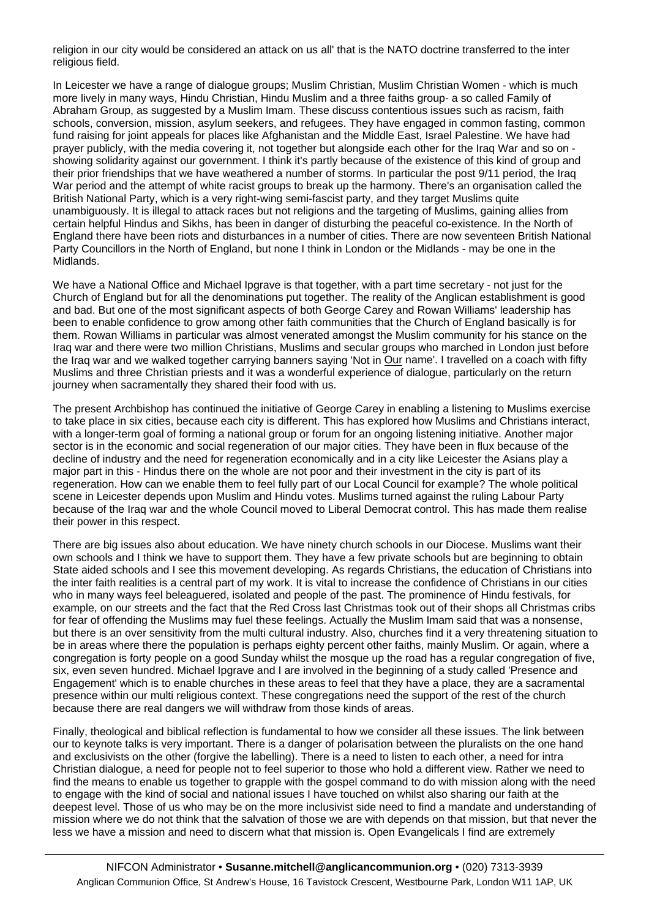religion in our city would be considered an attack on us all' that is the NATO doctrine transferred to the inter religious field.

In Leicester we have a range of dialogue groups; Muslim Christian, Muslim Christian Women - which is much more lively in many ways, Hindu Christian, Hindu Muslim and a three faiths group- a so called Family of Abraham Group, as suggested by a Muslim Imam. These discuss contentious issues such as racism, faith schools, conversion, mission, asylum seekers, and refugees. They have engaged in common fasting, common fund raising for joint appeals for places like Afghanistan and the Middle East, Israel Palestine. We have had prayer publicly, with the media covering it, not together but alongside each other for the Iraq War and so on showing solidarity against our government. I think it's partly because of the existence of this kind of group and their prior friendships that we have weathered a number of storms. In particular the post 9/11 period, the Iraq War period and the attempt of white racist groups to break up the harmony. There's an organisation called the British National Party, which is a very right-wing semi-fascist party, and they target Muslims quite unambiguously. It is illegal to attack races but not religions and the targeting of Muslims, gaining allies from certain helpful Hindus and Sikhs, has been in danger of disturbing the peaceful co-existence. In the North of England there have been riots and disturbances in a number of cities. There are now seventeen British National Party Councillors in the North of England, but none I think in London or the Midlands - may be one in the Midlands.

We have a National Office and Michael Ipgrave is that together, with a part time secretary - not just for the Church of England but for all the denominations put together. The reality of the Anglican establishment is good and bad. But one of the most significant aspects of both George Carey and Rowan Williams' leadership has been to enable confidence to grow among other faith communities that the Church of England basically is for them. Rowan Williams in particular was almost venerated amongst the Muslim community for his stance on the Iraq war and there were two million Christians, Muslims and secular groups who marched in London just before the Iraq war and we walked together carrying banners saying 'Not in Our name'. I travelled on a coach with fifty Muslims and three Christian priests and it was a wonderful experience of dialogue, particularly on the return journey when sacramentally they shared their food with us.

The present Archbishop has continued the initiative of George Carey in enabling a listening to Muslims exercise to take place in six cities, because each city is different. This has explored how Muslims and Christians interact, with a longer-term goal of forming a national group or forum for an ongoing listening initiative. Another major sector is in the economic and social regeneration of our major cities. They have been in flux because of the decline of industry and the need for regeneration economically and in a city like Leicester the Asians play a major part in this - Hindus there on the whole are not poor and their investment in the city is part of its regeneration. How can we enable them to feel fully part of our Local Council for example? The whole political scene in Leicester depends upon Muslim and Hindu votes. Muslims turned against the ruling Labour Party because of the Iraq war and the whole Council moved to Liberal Democrat control. This has made them realise their power in this respect.

There are big issues also about education. We have ninety church schools in our Diocese. Muslims want their own schools and I think we have to support them. They have a few private schools but are beginning to obtain State aided schools and I see this movement developing. As regards Christians, the education of Christians into the inter faith realities is a central part of my work. It is vital to increase the confidence of Christians in our cities who in many ways feel beleaguered, isolated and people of the past. The prominence of Hindu festivals, for example, on our streets and the fact that the Red Cross last Christmas took out of their shops all Christmas cribs for fear of offending the Muslims may fuel these feelings. Actually the Muslim Imam said that was a nonsense, but there is an over sensitivity from the multi cultural industry. Also, churches find it a very threatening situation to be in areas where there the population is perhaps eighty percent other faiths, mainly Muslim. Or again, where a congregation is forty people on a good Sunday whilst the mosque up the road has a regular congregation of five, six, even seven hundred. Michael Ipgrave and I are involved in the beginning of a study called 'Presence and Engagement' which is to enable churches in these areas to feel that they have a place, they are a sacramental presence within our multi religious context. These congregations need the support of the rest of the church because there are real dangers we will withdraw from those kinds of areas.

Finally, theological and biblical reflection is fundamental to how we consider all these issues. The link between our to keynote talks is very important. There is a danger of polarisation between the pluralists on the one hand and exclusivists on the other (forgive the labelling). There is a need to listen to each other, a need for intra Christian dialogue, a need for people not to feel superior to those who hold a different view. Rather we need to find the means to enable us together to grapple with the gospel command to do with mission along with the need to engage with the kind of social and national issues I have touched on whilst also sharing our faith at the deepest level. Those of us who may be on the more inclusivist side need to find a mandate and understanding of mission where we do not think that the salvation of those we are with depends on that mission, but that never the less we have a mission and need to discern what that mission is. Open Evangelicals I find are extremely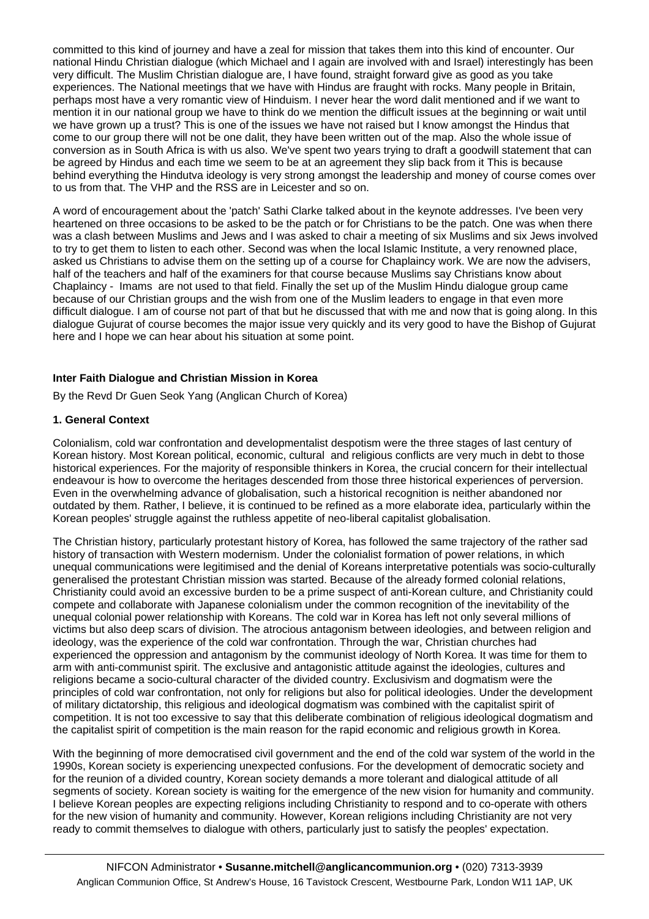<span id="page-8-0"></span>committed to this kind of journey and have a zeal for mission that takes them into this kind of encounter. Our national Hindu Christian dialogue (which Michael and I again are involved with and Israel) interestingly has been very difficult. The Muslim Christian dialogue are, I have found, straight forward give as good as you take experiences. The National meetings that we have with Hindus are fraught with rocks. Many people in Britain, perhaps most have a very romantic view of Hinduism. I never hear the word dalit mentioned and if we want to mention it in our national group we have to think do we mention the difficult issues at the beginning or wait until we have grown up a trust? This is one of the issues we have not raised but I know amongst the Hindus that come to our group there will not be one dalit, they have been written out of the map. Also the whole issue of conversion as in South Africa is with us also. We've spent two years trying to draft a goodwill statement that can be agreed by Hindus and each time we seem to be at an agreement they slip back from it This is because behind everything the Hindutva ideology is very strong amongst the leadership and money of course comes over to us from that. The VHP and the RSS are in Leicester and so on.

A word of encouragement about the 'patch' Sathi Clarke talked about in the keynote addresses. I've been very heartened on three occasions to be asked to be the patch or for Christians to be the patch. One was when there was a clash between Muslims and Jews and I was asked to chair a meeting of six Muslims and six Jews involved to try to get them to listen to each other. Second was when the local Islamic Institute, a very renowned place, asked us Christians to advise them on the setting up of a course for Chaplaincy work. We are now the advisers, half of the teachers and half of the examiners for that course because Muslims say Christians know about Chaplaincy - Imams are not used to that field. Finally the set up of the Muslim Hindu dialogue group came because of our Christian groups and the wish from one of the Muslim leaders to engage in that even more difficult dialogue. I am of course not part of that but he discussed that with me and now that is going along. In this dialogue Gujurat of course becomes the major issue very quickly and its very good to have the Bishop of Gujurat here and I hope we can hear about his situation at some point.

### **Inter Faith Dialogue and Christian Mission in Korea**

By the Revd Dr Guen Seok Yang (Anglican Church of Korea)

### **1. General Context**

Colonialism, cold war confrontation and developmentalist despotism were the three stages of last century of Korean history. Most Korean political, economic, cultural and religious conflicts are very much in debt to those historical experiences. For the majority of responsible thinkers in Korea, the crucial concern for their intellectual endeavour is how to overcome the heritages descended from those three historical experiences of perversion. Even in the overwhelming advance of globalisation, such a historical recognition is neither abandoned nor outdated by them. Rather, I believe, it is continued to be refined as a more elaborate idea, particularly within the Korean peoples' struggle against the ruthless appetite of neo-liberal capitalist globalisation.

The Christian history, particularly protestant history of Korea, has followed the same trajectory of the rather sad history of transaction with Western modernism. Under the colonialist formation of power relations, in which unequal communications were legitimised and the denial of Koreans interpretative potentials was socio-culturally generalised the protestant Christian mission was started. Because of the already formed colonial relations, Christianity could avoid an excessive burden to be a prime suspect of anti-Korean culture, and Christianity could compete and collaborate with Japanese colonialism under the common recognition of the inevitability of the unequal colonial power relationship with Koreans. The cold war in Korea has left not only several millions of victims but also deep scars of division. The atrocious antagonism between ideologies, and between religion and ideology, was the experience of the cold war confrontation. Through the war, Christian churches had experienced the oppression and antagonism by the communist ideology of North Korea. It was time for them to arm with anti-communist spirit. The exclusive and antagonistic attitude against the ideologies, cultures and religions became a socio-cultural character of the divided country. Exclusivism and dogmatism were the principles of cold war confrontation, not only for religions but also for political ideologies. Under the development of military dictatorship, this religious and ideological dogmatism was combined with the capitalist spirit of competition. It is not too excessive to say that this deliberate combination of religious ideological dogmatism and the capitalist spirit of competition is the main reason for the rapid economic and religious growth in Korea.

With the beginning of more democratised civil government and the end of the cold war system of the world in the 1990s, Korean society is experiencing unexpected confusions. For the development of democratic society and for the reunion of a divided country, Korean society demands a more tolerant and dialogical attitude of all segments of society. Korean society is waiting for the emergence of the new vision for humanity and community. I believe Korean peoples are expecting religions including Christianity to respond and to co-operate with others for the new vision of humanity and community. However, Korean religions including Christianity are not very ready to commit themselves to dialogue with others, particularly just to satisfy the peoples' expectation.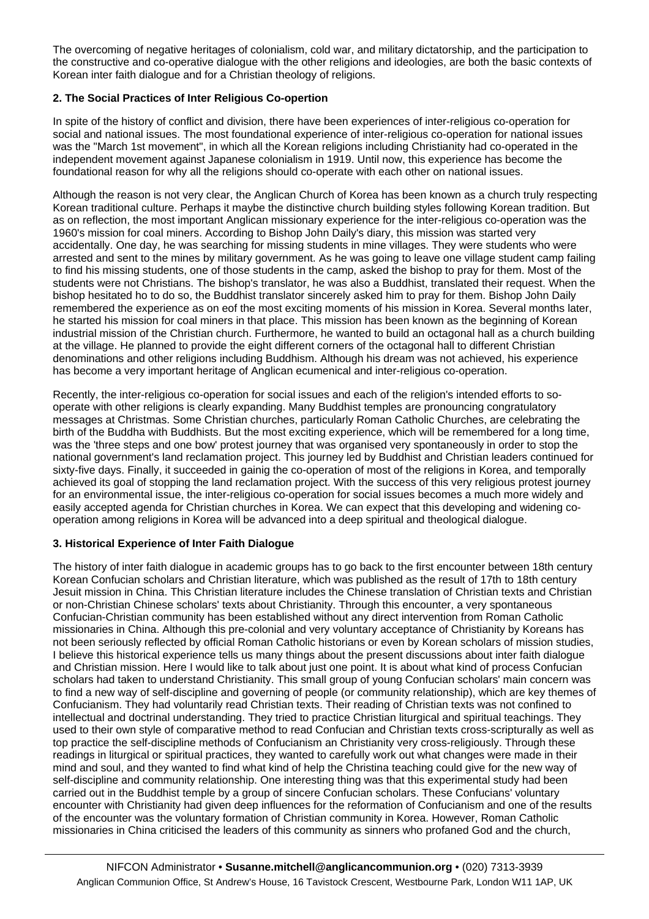The overcoming of negative heritages of colonialism, cold war, and military dictatorship, and the participation to the constructive and co-operative dialogue with the other religions and ideologies, are both the basic contexts of Korean inter faith dialogue and for a Christian theology of religions.

# **2. The Social Practices of Inter Religious Co-opertion**

In spite of the history of conflict and division, there have been experiences of inter-religious co-operation for social and national issues. The most foundational experience of inter-religious co-operation for national issues was the "March 1st movement", in which all the Korean religions including Christianity had co-operated in the independent movement against Japanese colonialism in 1919. Until now, this experience has become the foundational reason for why all the religions should co-operate with each other on national issues.

Although the reason is not very clear, the Anglican Church of Korea has been known as a church truly respecting Korean traditional culture. Perhaps it maybe the distinctive church building styles following Korean tradition. But as on reflection, the most important Anglican missionary experience for the inter-religious co-operation was the 1960's mission for coal miners. According to Bishop John Daily's diary, this mission was started very accidentally. One day, he was searching for missing students in mine villages. They were students who were arrested and sent to the mines by military government. As he was going to leave one village student camp failing to find his missing students, one of those students in the camp, asked the bishop to pray for them. Most of the students were not Christians. The bishop's translator, he was also a Buddhist, translated their request. When the bishop hesitated ho to do so, the Buddhist translator sincerely asked him to pray for them. Bishop John Daily remembered the experience as on eof the most exciting moments of his mission in Korea. Several months later, he started his mission for coal miners in that place. This mission has been known as the beginning of Korean industrial mission of the Christian church. Furthermore, he wanted to build an octagonal hall as a church building at the village. He planned to provide the eight different corners of the octagonal hall to different Christian denominations and other religions including Buddhism. Although his dream was not achieved, his experience has become a very important heritage of Anglican ecumenical and inter-religious co-operation.

Recently, the inter-religious co-operation for social issues and each of the religion's intended efforts to sooperate with other religions is clearly expanding. Many Buddhist temples are pronouncing congratulatory messages at Christmas. Some Christian churches, particularly Roman Catholic Churches, are celebrating the birth of the Buddha with Buddhists. But the most exciting experience, which will be remembered for a long time, was the 'three steps and one bow' protest journey that was organised very spontaneously in order to stop the national government's land reclamation project. This journey led by Buddhist and Christian leaders continued for sixty-five days. Finally, it succeeded in gainig the co-operation of most of the religions in Korea, and temporally achieved its goal of stopping the land reclamation project. With the success of this very religious protest journey for an environmental issue, the inter-religious co-operation for social issues becomes a much more widely and easily accepted agenda for Christian churches in Korea. We can expect that this developing and widening cooperation among religions in Korea will be advanced into a deep spiritual and theological dialogue.

# **3. Historical Experience of Inter Faith Dialogue**

The history of inter faith dialogue in academic groups has to go back to the first encounter between 18th century Korean Confucian scholars and Christian literature, which was published as the result of 17th to 18th century Jesuit mission in China. This Christian literature includes the Chinese translation of Christian texts and Christian or non-Christian Chinese scholars' texts about Christianity. Through this encounter, a very spontaneous Confucian-Christian community has been established without any direct intervention from Roman Catholic missionaries in China. Although this pre-colonial and very voluntary acceptance of Christianity by Koreans has not been seriously reflected by official Roman Catholic historians or even by Korean scholars of mission studies, I believe this historical experience tells us many things about the present discussions about inter faith dialogue and Christian mission. Here I would like to talk about just one point. It is about what kind of process Confucian scholars had taken to understand Christianity. This small group of young Confucian scholars' main concern was to find a new way of self-discipline and governing of people (or community relationship), which are key themes of Confucianism. They had voluntarily read Christian texts. Their reading of Christian texts was not confined to intellectual and doctrinal understanding. They tried to practice Christian liturgical and spiritual teachings. They used to their own style of comparative method to read Confucian and Christian texts cross-scripturally as well as top practice the self-discipline methods of Confucianism an Christianity very cross-religiously. Through these readings in liturgical or spiritual practices, they wanted to carefully work out what changes were made in their mind and soul, and they wanted to find what kind of help the Christina teaching could give for the new way of self-discipline and community relationship. One interesting thing was that this experimental study had been carried out in the Buddhist temple by a group of sincere Confucian scholars. These Confucians' voluntary encounter with Christianity had given deep influences for the reformation of Confucianism and one of the results of the encounter was the voluntary formation of Christian community in Korea. However, Roman Catholic missionaries in China criticised the leaders of this community as sinners who profaned God and the church,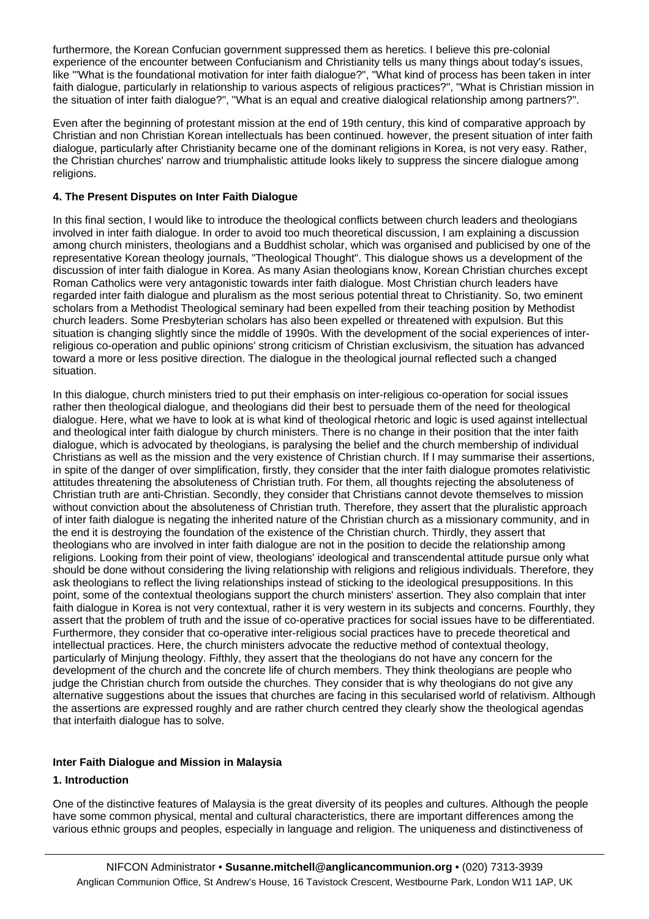<span id="page-10-0"></span>furthermore, the Korean Confucian government suppressed them as heretics. I believe this pre-colonial experience of the encounter between Confucianism and Christianity tells us many things about today's issues, like '"What is the foundational motivation for inter faith dialogue?", "What kind of process has been taken in inter faith dialogue, particularly in relationship to various aspects of religious practices?", "What is Christian mission in the situation of inter faith dialogue?", "What is an equal and creative dialogical relationship among partners?".

Even after the beginning of protestant mission at the end of 19th century, this kind of comparative approach by Christian and non Christian Korean intellectuals has been continued. however, the present situation of inter faith dialogue, particularly after Christianity became one of the dominant religions in Korea, is not very easy. Rather, the Christian churches' narrow and triumphalistic attitude looks likely to suppress the sincere dialogue among religions.

### **4. The Present Disputes on Inter Faith Dialogue**

In this final section, I would like to introduce the theological conflicts between church leaders and theologians involved in inter faith dialogue. In order to avoid too much theoretical discussion, I am explaining a discussion among church ministers, theologians and a Buddhist scholar, which was organised and publicised by one of the representative Korean theology journals, "Theological Thought". This dialogue shows us a development of the discussion of inter faith dialogue in Korea. As many Asian theologians know, Korean Christian churches except Roman Catholics were very antagonistic towards inter faith dialogue. Most Christian church leaders have regarded inter faith dialogue and pluralism as the most serious potential threat to Christianity. So, two eminent scholars from a Methodist Theological seminary had been expelled from their teaching position by Methodist church leaders. Some Presbyterian scholars has also been expelled or threatened with expulsion. But this situation is changing slightly since the middle of 1990s. With the development of the social experiences of interreligious co-operation and public opinions' strong criticism of Christian exclusivism, the situation has advanced toward a more or less positive direction. The dialogue in the theological journal reflected such a changed situation.

In this dialogue, church ministers tried to put their emphasis on inter-religious co-operation for social issues rather then theological dialogue, and theologians did their best to persuade them of the need for theological dialogue. Here, what we have to look at is what kind of theological rhetoric and logic is used against intellectual and theological inter faith dialogue by church ministers. There is no change in their position that the inter faith dialogue, which is advocated by theologians, is paralysing the belief and the church membership of individual Christians as well as the mission and the very existence of Christian church. If I may summarise their assertions, in spite of the danger of over simplification, firstly, they consider that the inter faith dialogue promotes relativistic attitudes threatening the absoluteness of Christian truth. For them, all thoughts rejecting the absoluteness of Christian truth are anti-Christian. Secondly, they consider that Christians cannot devote themselves to mission without conviction about the absoluteness of Christian truth. Therefore, they assert that the pluralistic approach of inter faith dialogue is negating the inherited nature of the Christian church as a missionary community, and in the end it is destroying the foundation of the existence of the Christian church. Thirdly, they assert that theologians who are involved in inter faith dialogue are not in the position to decide the relationship among religions. Looking from their point of view, theologians' ideological and transcendental attitude pursue only what should be done without considering the living relationship with religions and religious individuals. Therefore, they ask theologians to reflect the living relationships instead of sticking to the ideological presuppositions. In this point, some of the contextual theologians support the church ministers' assertion. They also complain that inter faith dialogue in Korea is not very contextual, rather it is very western in its subjects and concerns. Fourthly, they assert that the problem of truth and the issue of co-operative practices for social issues have to be differentiated. Furthermore, they consider that co-operative inter-religious social practices have to precede theoretical and intellectual practices. Here, the church ministers advocate the reductive method of contextual theology, particularly of Minjung theology. Fifthly, they assert that the theologians do not have any concern for the development of the church and the concrete life of church members. They think theologians are people who judge the Christian church from outside the churches. They consider that is why theologians do not give any alternative suggestions about the issues that churches are facing in this secularised world of relativism. Although the assertions are expressed roughly and are rather church centred they clearly show the theological agendas that interfaith dialogue has to solve.

# **Inter Faith Dialogue and Mission in Malaysia**

# **1. Introduction**

One of the distinctive features of Malaysia is the great diversity of its peoples and cultures. Although the people have some common physical, mental and cultural characteristics, there are important differences among the various ethnic groups and peoples, especially in language and religion. The uniqueness and distinctiveness of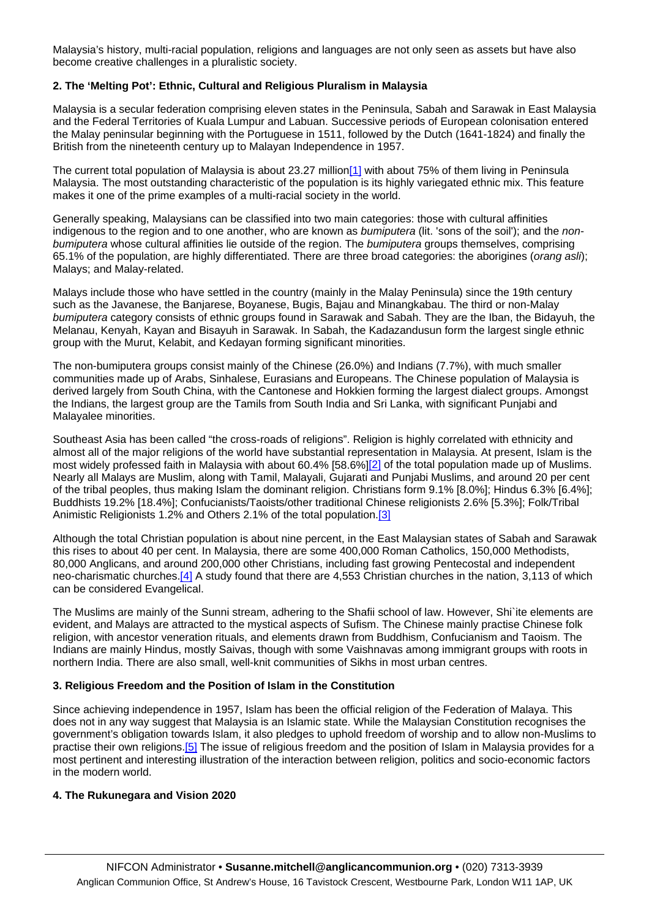Malaysia's history, multi-racial population, religions and languages are not only seen as assets but have also become creative challenges in a pluralistic society.

### **2. The 'Melting Pot': Ethnic, Cultural and Religious Pluralism in Malaysia**

Malaysia is a secular federation comprising eleven states in the Peninsula, Sabah and Sarawak in East Malaysia and the Federal Territories of Kuala Lumpur and Labuan. Successive periods of European colonisation entered the Malay peninsular beginning with the Portuguese in 1511, followed by the Dutch (1641-1824) and finally the British from the nineteenth century up to Malayan Independence in 1957.

The current total population of Malaysia is about 23.27 million<sup>[1]</sup> with about 75% of them living in Peninsula Malaysia. The most outstanding characteristic of the population is its highly variegated ethnic mix. This feature makes it one of the prime examples of a multi-racial society in the world.

Generally speaking, Malaysians can be classified into two main categories: those with cultural affinities indigenous to the region and to one another, who are known as *bumiputera* (lit. 'sons of the soil'); and the *nonbumiputera* whose cultural affinities lie outside of the region. The *bumiputera* groups themselves, comprising 65.1% of the population, are highly differentiated. There are three broad categories: the aborigines (*orang asli*); Malays; and Malay-related.

Malays include those who have settled in the country (mainly in the Malay Peninsula) since the 19th century such as the Javanese, the Banjarese, Boyanese, Bugis, Bajau and Minangkabau. The third or non-Malay *bumiputera* category consists of ethnic groups found in Sarawak and Sabah. They are the Iban, the Bidayuh, the Melanau, Kenyah, Kayan and Bisayuh in Sarawak. In Sabah, the Kadazandusun form the largest single ethnic group with the Murut, Kelabit, and Kedayan forming significant minorities.

The non-bumiputera groups consist mainly of the Chinese (26.0%) and Indians (7.7%), with much smaller communities made up of Arabs, Sinhalese, Eurasians and Europeans. The Chinese population of Malaysia is derived largely from South China, with the Cantonese and Hokkien forming the largest dialect groups. Amongst the Indians, the largest group are the Tamils from South India and Sri Lanka, with significant Punjabi and Malayalee minorities.

Southeast Asia has been called "the cross-roads of religions". Religion is highly correlated with ethnicity and almost all of the major religions of the world have substantial representation in Malaysia. At present, Islam is the most widely professed faith in Malaysia with about 60.4% [58.6%[\]\[2\]](http://nifcon/work/consultations/bangalore/#_ftnx2) of the total population made up of Muslims. Nearly all Malays are Muslim, along with Tamil, Malayali, Gujarati and Punjabi Muslims, and around 20 per cent of the tribal peoples, thus making Islam the dominant religion. Christians form 9.1% [8.0%]; Hindus 6.3% [6.4%]; Buddhists 19.2% [18.4%]; Confucianists/Taoists/other traditional Chinese religionists 2.6% [5.3%]; Folk/Tribal Animistic Religionists 1.2% and Others 2.1% of the total population[.\[3\]](http://nifcon/work/consultations/bangalore/#_ftnx3)

Although the total Christian population is about nine percent, in the East Malaysian states of Sabah and Sarawak this rises to about 40 per cent. In Malaysia, there are some 400,000 Roman Catholics, 150,000 Methodists, 80,000 Anglicans, and around 200,000 other Christians, including fast growing Pentecostal and independent neo-charismatic churches[.\[4\]](http://nifcon/work/consultations/bangalore/#_ftnx4) A study found that there are 4,553 Christian churches in the nation, 3,113 of which can be considered Evangelical.

The Muslims are mainly of the Sunni stream, adhering to the Shafii school of law. However, Shi`ite elements are evident, and Malays are attracted to the mystical aspects of Sufism. The Chinese mainly practise Chinese folk religion, with ancestor veneration rituals, and elements drawn from Buddhism, Confucianism and Taoism. The Indians are mainly Hindus, mostly Saivas, though with some Vaishnavas among immigrant groups with roots in northern India. There are also small, well-knit communities of Sikhs in most urban centres.

#### **3. Religious Freedom and the Position of Islam in the Constitution**

Since achieving independence in 1957, Islam has been the official religion of the Federation of Malaya. This does not in any way suggest that Malaysia is an Islamic state. While the Malaysian Constitution recognises the government's obligation towards Islam, it also pledges to uphold freedom of worship and to allow non-Muslims to practise their own religions.[\[5\]](http://nifcon/work/consultations/bangalore/#_ftnx5) The issue of religious freedom and the position of Islam in Malaysia provides for a most pertinent and interesting illustration of the interaction between religion, politics and socio-economic factors in the modern world.

#### **4. The Rukunegara and Vision 2020**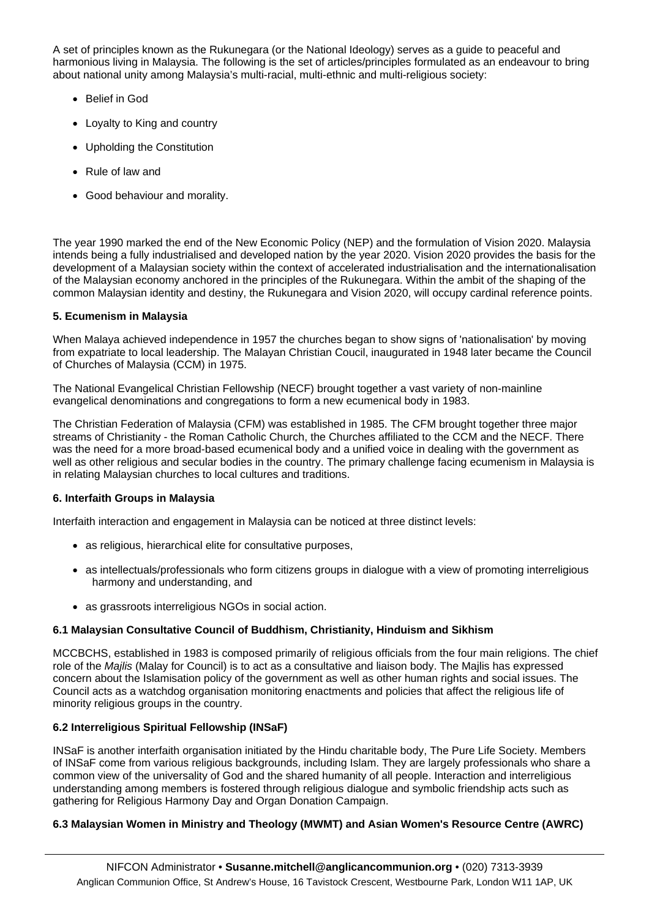A set of principles known as the Rukunegara (or the National Ideology) serves as a guide to peaceful and harmonious living in Malaysia. The following is the set of articles/principles formulated as an endeavour to bring about national unity among Malaysia's multi-racial, multi-ethnic and multi-religious society:

- Belief in God
- Loyalty to King and country
- Upholding the Constitution
- Rule of law and
- Good behaviour and morality.

The year 1990 marked the end of the New Economic Policy (NEP) and the formulation of Vision 2020. Malaysia intends being a fully industrialised and developed nation by the year 2020. Vision 2020 provides the basis for the development of a Malaysian society within the context of accelerated industrialisation and the internationalisation of the Malaysian economy anchored in the principles of the Rukunegara. Within the ambit of the shaping of the common Malaysian identity and destiny, the Rukunegara and Vision 2020, will occupy cardinal reference points.

### **5. Ecumenism in Malaysia**

When Malaya achieved independence in 1957 the churches began to show signs of 'nationalisation' by moving from expatriate to local leadership. The Malayan Christian Coucil, inaugurated in 1948 later became the Council of Churches of Malaysia (CCM) in 1975.

The National Evangelical Christian Fellowship (NECF) brought together a vast variety of non-mainline evangelical denominations and congregations to form a new ecumenical body in 1983.

The Christian Federation of Malaysia (CFM) was established in 1985. The CFM brought together three major streams of Christianity - the Roman Catholic Church, the Churches affiliated to the CCM and the NECF. There was the need for a more broad-based ecumenical body and a unified voice in dealing with the government as well as other religious and secular bodies in the country. The primary challenge facing ecumenism in Malaysia is in relating Malaysian churches to local cultures and traditions.

#### **6. Interfaith Groups in Malaysia**

Interfaith interaction and engagement in Malaysia can be noticed at three distinct levels:

- as religious, hierarchical elite for consultative purposes,
- as intellectuals/professionals who form citizens groups in dialogue with a view of promoting interreligious harmony and understanding, and
- as grassroots interreligious NGOs in social action.

# **6.1 Malaysian Consultative Council of Buddhism, Christianity, Hinduism and Sikhism**

MCCBCHS, established in 1983 is composed primarily of religious officials from the four main religions. The chief role of the *Majlis* (Malay for Council) is to act as a consultative and liaison body. The Majlis has expressed concern about the Islamisation policy of the government as well as other human rights and social issues. The Council acts as a watchdog organisation monitoring enactments and policies that affect the religious life of minority religious groups in the country.

# **6.2 Interreligious Spiritual Fellowship (INSaF)**

INSaF is another interfaith organisation initiated by the Hindu charitable body, The Pure Life Society. Members of INSaF come from various religious backgrounds, including Islam. They are largely professionals who share a common view of the universality of God and the shared humanity of all people. Interaction and interreligious understanding among members is fostered through religious dialogue and symbolic friendship acts such as gathering for Religious Harmony Day and Organ Donation Campaign.

# **6.3 Malaysian Women in Ministry and Theology (MWMT) and Asian Women's Resource Centre (AWRC)**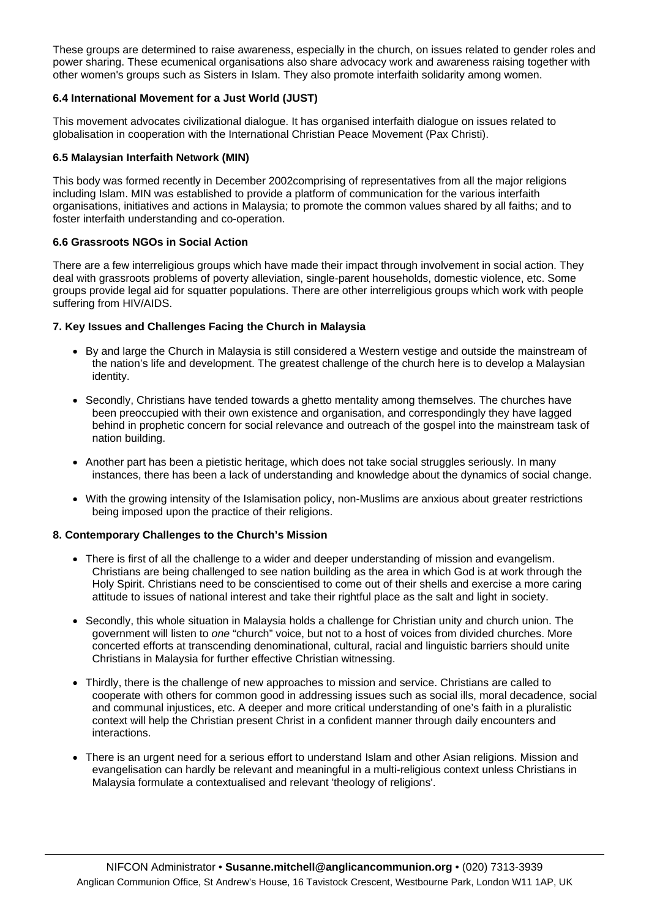These groups are determined to raise awareness, especially in the church, on issues related to gender roles and power sharing. These ecumenical organisations also share advocacy work and awareness raising together with other women's groups such as Sisters in Islam. They also promote interfaith solidarity among women.

#### **6.4 International Movement for a Just World (JUST)**

This movement advocates civilizational dialogue. It has organised interfaith dialogue on issues related to globalisation in cooperation with the International Christian Peace Movement (Pax Christi).

#### **6.5 Malaysian Interfaith Network (MIN)**

This body was formed recently in December 2002comprising of representatives from all the major religions including Islam. MIN was established to provide a platform of communication for the various interfaith organisations, initiatives and actions in Malaysia; to promote the common values shared by all faiths; and to foster interfaith understanding and co-operation.

#### **6.6 Grassroots NGOs in Social Action**

There are a few interreligious groups which have made their impact through involvement in social action. They deal with grassroots problems of poverty alleviation, single-parent households, domestic violence, etc. Some groups provide legal aid for squatter populations. There are other interreligious groups which work with people suffering from HIV/AIDS.

#### **7. Key Issues and Challenges Facing the Church in Malaysia**

- By and large the Church in Malaysia is still considered a Western vestige and outside the mainstream of the nation's life and development. The greatest challenge of the church here is to develop a Malaysian identity.
- Secondly, Christians have tended towards a ghetto mentality among themselves. The churches have been preoccupied with their own existence and organisation, and correspondingly they have lagged behind in prophetic concern for social relevance and outreach of the gospel into the mainstream task of nation building.
- Another part has been a pietistic heritage, which does not take social struggles seriously. In many instances, there has been a lack of understanding and knowledge about the dynamics of social change.
- With the growing intensity of the Islamisation policy, non-Muslims are anxious about greater restrictions being imposed upon the practice of their religions.

#### **8. Contemporary Challenges to the Church's Mission**

- There is first of all the challenge to a wider and deeper understanding of mission and evangelism. Christians are being challenged to see nation building as the area in which God is at work through the Holy Spirit. Christians need to be conscientised to come out of their shells and exercise a more caring attitude to issues of national interest and take their rightful place as the salt and light in society.
- Secondly, this whole situation in Malaysia holds a challenge for Christian unity and church union. The government will listen to *one* "church" voice, but not to a host of voices from divided churches. More concerted efforts at transcending denominational, cultural, racial and linguistic barriers should unite Christians in Malaysia for further effective Christian witnessing.
- Thirdly, there is the challenge of new approaches to mission and service. Christians are called to cooperate with others for common good in addressing issues such as social ills, moral decadence, social and communal injustices, etc. A deeper and more critical understanding of one's faith in a pluralistic context will help the Christian present Christ in a confident manner through daily encounters and interactions.
- There is an urgent need for a serious effort to understand Islam and other Asian religions. Mission and evangelisation can hardly be relevant and meaningful in a multi-religious context unless Christians in Malaysia formulate a contextualised and relevant 'theology of religions'.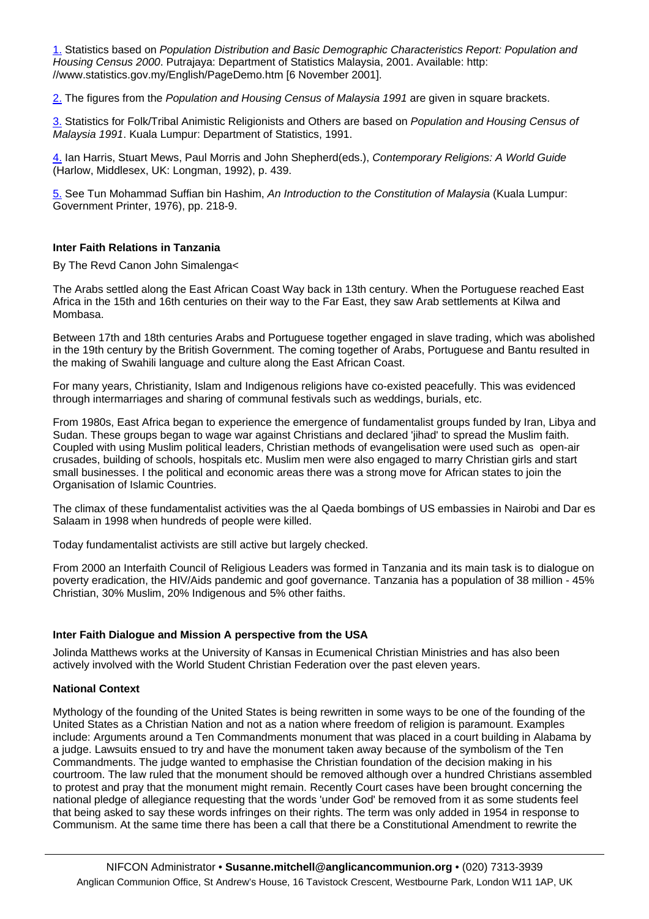<span id="page-14-0"></span>[1.](http://nifcon/work/consultations/bangalore/#_ftnrefx1) Statistics based on *Population Distribution and Basic Demographic Characteristics Report: Population and Housing Census 2000*. Putrajaya: Department of Statistics Malaysia, 2001. Available: http: //www.statistics.gov.my/English/PageDemo.htm [6 November 2001].

[2.](http://nifcon/work/consultations/bangalore/#_ftnrefx2) The figures from the *Population and Housing Census of Malaysia 1991* are given in square brackets.

[3.](http://nifcon/work/consultations/bangalore/#_ftnrefx3) Statistics for Folk/Tribal Animistic Religionists and Others are based on *Population and Housing Census of Malaysia 1991*. Kuala Lumpur: Department of Statistics, 1991.

[4.](http://nifcon/work/consultations/bangalore/#_ftnrefx4) Ian Harris, Stuart Mews, Paul Morris and John Shepherd(eds.), *Contemporary Religions: A World Guide* (Harlow, Middlesex, UK: Longman, 1992), p. 439.

[5.](http://nifcon/work/consultations/bangalore/#_ftnrefx5) See Tun Mohammad Suffian bin Hashim, *An Introduction to the Constitution of Malaysia* (Kuala Lumpur: Government Printer, 1976), pp. 218-9.

#### **Inter Faith Relations in Tanzania**

By The Revd Canon John Simalenga<

The Arabs settled along the East African Coast Way back in 13th century. When the Portuguese reached East Africa in the 15th and 16th centuries on their way to the Far East, they saw Arab settlements at Kilwa and Mombasa.

Between 17th and 18th centuries Arabs and Portuguese together engaged in slave trading, which was abolished in the 19th century by the British Government. The coming together of Arabs, Portuguese and Bantu resulted in the making of Swahili language and culture along the East African Coast.

For many years, Christianity, Islam and Indigenous religions have co-existed peacefully. This was evidenced through intermarriages and sharing of communal festivals such as weddings, burials, etc.

From 1980s, East Africa began to experience the emergence of fundamentalist groups funded by Iran, Libya and Sudan. These groups began to wage war against Christians and declared 'jihad' to spread the Muslim faith. Coupled with using Muslim political leaders, Christian methods of evangelisation were used such as open-air crusades, building of schools, hospitals etc. Muslim men were also engaged to marry Christian girls and start small businesses. I the political and economic areas there was a strong move for African states to join the Organisation of Islamic Countries.

The climax of these fundamentalist activities was the al Qaeda bombings of US embassies in Nairobi and Dar es Salaam in 1998 when hundreds of people were killed.

Today fundamentalist activists are still active but largely checked.

From 2000 an Interfaith Council of Religious Leaders was formed in Tanzania and its main task is to dialogue on poverty eradication, the HIV/Aids pandemic and goof governance. Tanzania has a population of 38 million - 45% Christian, 30% Muslim, 20% Indigenous and 5% other faiths.

#### **Inter Faith Dialogue and Mission A perspective from the USA**

Jolinda Matthews works at the University of Kansas in Ecumenical Christian Ministries and has also been actively involved with the World Student Christian Federation over the past eleven years.

#### **National Context**

Mythology of the founding of the United States is being rewritten in some ways to be one of the founding of the United States as a Christian Nation and not as a nation where freedom of religion is paramount. Examples include: Arguments around a Ten Commandments monument that was placed in a court building in Alabama by a judge. Lawsuits ensued to try and have the monument taken away because of the symbolism of the Ten Commandments. The judge wanted to emphasise the Christian foundation of the decision making in his courtroom. The law ruled that the monument should be removed although over a hundred Christians assembled to protest and pray that the monument might remain. Recently Court cases have been brought concerning the national pledge of allegiance requesting that the words 'under God' be removed from it as some students feel that being asked to say these words infringes on their rights. The term was only added in 1954 in response to Communism. At the same time there has been a call that there be a Constitutional Amendment to rewrite the